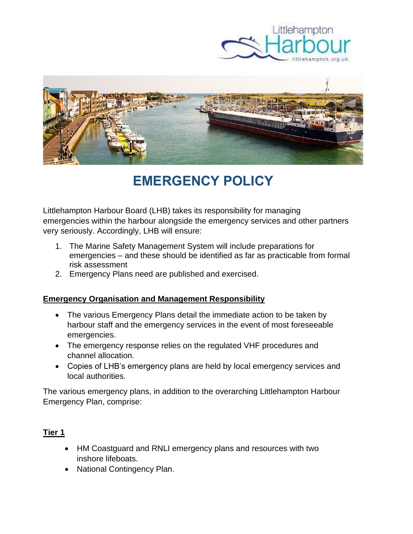



# **EMERGENCY POLICY**

Littlehampton Harbour Board (LHB) takes its responsibility for managing emergencies within the harbour alongside the emergency services and other partners very seriously. Accordingly, LHB will ensure:

- 1. The Marine Safety Management System will include preparations for emergencies – and these should be identified as far as practicable from formal risk assessment
- 2. Emergency Plans need are published and exercised.

#### **Emergency Organisation and Management Responsibility**

- The various Emergency Plans detail the immediate action to be taken by harbour staff and the emergency services in the event of most foreseeable emergencies.
- The emergency response relies on the regulated VHF procedures and channel allocation.
- Copies of LHB's emergency plans are held by local emergency services and local authorities.

The various emergency plans, in addition to the overarching Littlehampton Harbour Emergency Plan, comprise:

### **Tier 1**

- HM Coastguard and RNLI emergency plans and resources with two inshore lifeboats.
- National Contingency Plan.